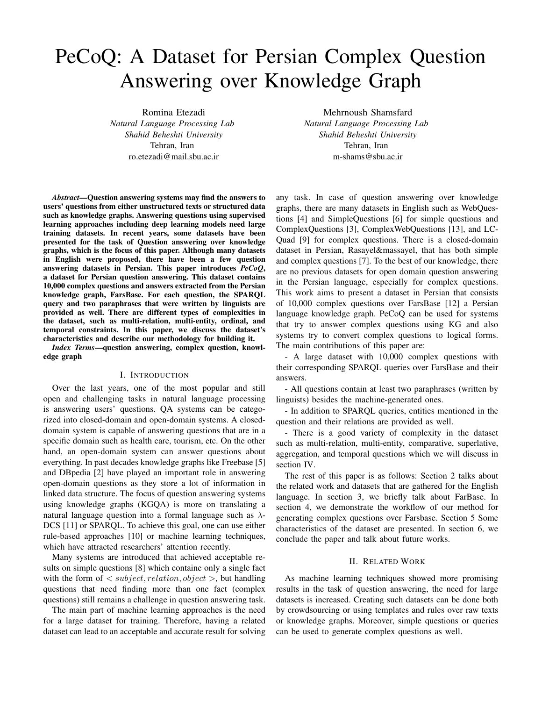# PeCoQ: A Dataset for Persian Complex Question Answering over Knowledge Graph

Romina Etezadi *Natural Language Processing Lab Shahid Beheshti University* Tehran, Iran ro.etezadi@mail.sbu.ac.ir

Mehrnoush Shamsfard *Natural Language Processing Lab Shahid Beheshti University* Tehran, Iran m-shams@sbu.ac.ir

*Abstract*—Question answering systems may find the answers to users' questions from either unstructured texts or structured data such as knowledge graphs. Answering questions using supervised learning approaches including deep learning models need large training datasets. In recent years, some datasets have been presented for the task of Question answering over knowledge graphs, which is the focus of this paper. Although many datasets in English were proposed, there have been a few question answering datasets in Persian. This paper introduces *PeCoQ*, a dataset for Persian question answering. This dataset contains 10,000 complex questions and answers extracted from the Persian knowledge graph, FarsBase. For each question, the SPARQL query and two paraphrases that were written by linguists are provided as well. There are different types of complexities in the dataset, such as multi-relation, multi-entity, ordinal, and temporal constraints. In this paper, we discuss the dataset's characteristics and describe our methodology for building it.

*Index Terms*—question answering, complex question, knowledge graph

# I. INTRODUCTION

Over the last years, one of the most popular and still open and challenging tasks in natural language processing is answering users' questions. QA systems can be categorized into closed-domain and open-domain systems. A closeddomain system is capable of answering questions that are in a specific domain such as health care, tourism, etc. On the other hand, an open-domain system can answer questions about everything. In past decades knowledge graphs like Freebase [5] and DBpedia [2] have played an important role in answering open-domain questions as they store a lot of information in linked data structure. The focus of question answering systems using knowledge graphs (KGQA) is more on translating a natural language question into a formal language such as *λ*-DCS [11] or SPARQL. To achieve this goal, one can use either rule-based approaches [10] or machine learning techniques, which have attracted researchers' attention recently.

Many systems are introduced that achieved acceptable results on simple questions [8] which containe only a single fact with the form of *< subject, relation, object >*, but handling questions that need finding more than one fact (complex questions) still remains a challenge in question answering task.

The main part of machine learning approaches is the need for a large dataset for training. Therefore, having a related dataset can lead to an acceptable and accurate result for solving any task. In case of question answering over knowledge graphs, there are many datasets in English such as WebQuestions [4] and SimpleQuestions [6] for simple questions and ComplexQuestions [3], ComplexWebQuestions [13], and LC-Quad [9] for complex questions. There is a closed-domain dataset in Persian, Rasayel&massayel, that has both simple and complex questions [7]. To the best of our knowledge, there are no previous datasets for open domain question answering in the Persian language, especially for complex questions. This work aims to present a dataset in Persian that consists of 10,000 complex questions over FarsBase [12] a Persian language knowledge graph. PeCoQ can be used for systems that try to answer complex questions using KG and also systems try to convert complex questions to logical forms. The main contributions of this paper are:

- A large dataset with 10,000 complex questions with their corresponding SPARQL queries over FarsBase and their answers.

- All questions contain at least two paraphrases (written by linguists) besides the machine-generated ones.

- In addition to SPARQL queries, entities mentioned in the question and their relations are provided as well.

- There is a good variety of complexity in the dataset such as multi-relation, multi-entity, comparative, superlative, aggregation, and temporal questions which we will discuss in section IV.

The rest of this paper is as follows: Section 2 talks about the related work and datasets that are gathered for the English language. In section 3, we briefly talk about FarBase. In section 4, we demonstrate the workflow of our method for generating complex questions over Farsbase. Section 5 Some characteristics of the dataset are presented. In section 6, we conclude the paper and talk about future works.

## II. RELATED WORK

As machine learning techniques showed more promising results in the task of question answering, the need for large datasets is increased. Creating such datasets can be done both by crowdsourcing or using templates and rules over raw texts or knowledge graphs. Moreover, simple questions or queries can be used to generate complex questions as well.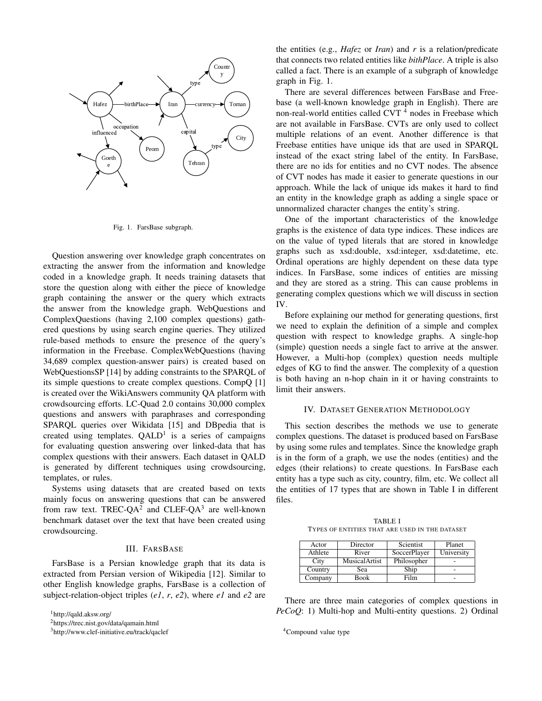

Fig. 1. FarsBase subgraph.

Question answering over knowledge graph concentrates on extracting the answer from the information and knowledge coded in a knowledge graph. It needs training datasets that store the question along with either the piece of knowledge graph containing the answer or the query which extracts the answer from the knowledge graph. WebQuestions and ComplexQuestions (having 2,100 complex questions) gathered questions by using search engine queries. They utilized rule-based methods to ensure the presence of the query's information in the Freebase. ComplexWebQuestions (having 34,689 complex question-answer pairs) is created based on WebQuestionsSP [14] by adding constraints to the SPARQL of its simple questions to create complex questions. CompQ [1] is created over the WikiAnswers community QA platform with crowdsourcing efforts. LC-Quad 2.0 contains 30,000 complex questions and answers with paraphrases and corresponding SPARQL queries over Wikidata [15] and DBpedia that is created using templates.  $QALD<sup>1</sup>$  is a series of campaigns for evaluating question answering over linked-data that has complex questions with their answers. Each dataset in QALD is generated by different techniques using crowdsourcing, templates, or rules.

Systems using datasets that are created based on texts mainly focus on answering questions that can be answered from raw text. TREC-QA<sup>2</sup> and CLEF-QA<sup>3</sup> are well-known benchmark dataset over the text that have been created using crowdsourcing.

#### III. FARSBASE

FarsBase is a Persian knowledge graph that its data is extracted from Persian version of Wikipedia [12]. Similar to other English knowledge graphs, FarsBase is a collection of subject-relation-object triples (*e1*, *r*, *e2*), where *e1* and *e2* are

<sup>1</sup>http://qald.aksw.org/

<sup>3</sup>http://www.clef-initiative.eu/track/qaclef

the entities (e.g., *Hafez* or *Iran*) and *r* is a relation/predicate that connects two related entities like *bithPlace*. A triple is also called a fact. There is an example of a subgraph of knowledge graph in Fig. 1.

There are several differences between FarsBase and Freebase (a well-known knowledge graph in English). There are non-real-world entities called CVT<sup>4</sup> nodes in Freebase which are not available in FarsBase. CVTs are only used to collect multiple relations of an event. Another difference is that Freebase entities have unique ids that are used in SPARQL instead of the exact string label of the entity. In FarsBase, there are no ids for entities and no CVT nodes. The absence of CVT nodes has made it easier to generate questions in our approach. While the lack of unique ids makes it hard to find an entity in the knowledge graph as adding a single space or unnormalized character changes the entity's string.

One of the important characteristics of the knowledge graphs is the existence of data type indices. These indices are on the value of typed literals that are stored in knowledge graphs such as xsd:double, xsd:integer, xsd:datetime, etc. Ordinal operations are highly dependent on these data type indices. In FarsBase, some indices of entities are missing and they are stored as a string. This can cause problems in generating complex questions which we will discuss in section IV.

Before explaining our method for generating questions, first we need to explain the definition of a simple and complex question with respect to knowledge graphs. A single-hop (simple) question needs a single fact to arrive at the answer. However, a Multi-hop (complex) question needs multiple edges of KG to find the answer. The complexity of a question is both having an n-hop chain in it or having constraints to limit their answers.

## IV. DATASET GENERATION METHODOLOGY

This section describes the methods we use to generate complex questions. The dataset is produced based on FarsBase by using some rules and templates. Since the knowledge graph is in the form of a graph, we use the nodes (entities) and the edges (their relations) to create questions. In FarsBase each entity has a type such as city, country, film, etc. We collect all the entities of 17 types that are shown in Table I in different files.

TABLE I TYPES OF ENTITIES THAT ARE USED IN THE DATASET

| Actor   | Director      | Scientist    | Planet     |
|---------|---------------|--------------|------------|
| Athlete | River         | SoccerPlayer | University |
| City    | MusicalArtist | Philosopher  |            |
| Country | Sea           | Ship         |            |
| Company | <b>Book</b>   | Film         |            |

There are three main categories of complex questions in *PeCoQ*: 1) Multi-hop and Multi-entity questions. 2) Ordinal

<sup>4</sup>Compound value type

<sup>2</sup>https://trec.nist.gov/data/qamain.html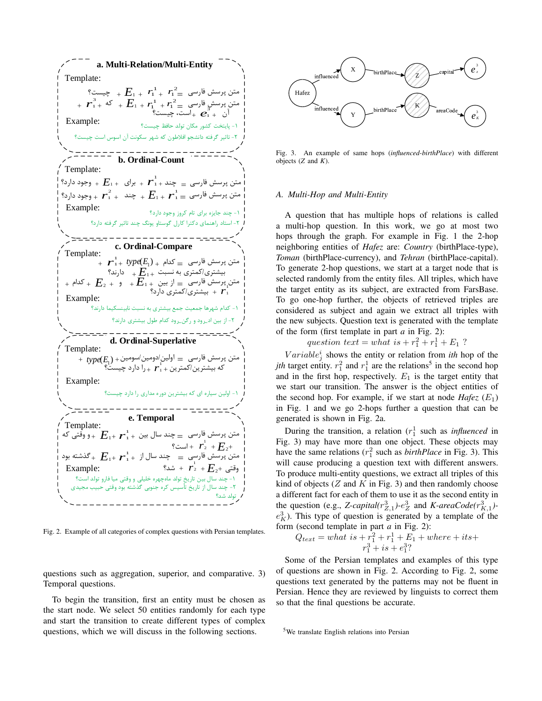Template: Example: **a. Multi-Relation/Multi-Entity** *r* 1 1 *E*<sup>1</sup> Template: Example: *r* 1 1 *E*<sup>1</sup> *<sup>r</sup>* 1 *A. Multi-Hop and Multi-Entity* 2 **b. Ordinal-Count** Template: Example: **c. Ordinal-Compare** Template: Example: **d. Ordinal-Superlative** Template: Example: **e. Temporal** 1 *<sup>r</sup>*<sup>1</sup> *E*<sup>1</sup> 2 1 *<sup>r</sup> E*<sup>1</sup> 3 <sup>1</sup> *e* 3 ( ) *E*<sup>1</sup> *type* / / / 1 1 *r* 1 1 / / *r* 1 *r* 1 1 1 - - - - - - \_ \_ - - 2 1 *r* 1 *r*1 *r* 1 1 1 2 -

Fig. 2. Example of all categories of complex questions with Persian templates.

questions such as aggregation, superior, and comparative. 3) Temporal questions.

To begin the transition, first an entity must be chosen as the start node. We select 50 entities randomly for each type and start the transition to create different types of complex questions, which we will discuss in the following sections.



Fig. 3. An example of same hops (*influenced-birthPlace*) with different objects (*Z* and *K*).

 $t_{+}$  *type*( $E_{1})$ <sub>+</sub>  $\geq$  كدام  $\equiv$   $\frac{1}{2}$  *Toman* (birthPlace-currency), and *Tehran* (birthPlace-capital).  $E_{1+}$   $E_{1+}$   $\frac{1}{2}$   $\frac{1}{2}$   $\frac{1}{2}$   $\frac{1}{2}$  To generate 2-hop questions, we start at a target node that is  $E_2 + E_3 + E_{1+}$  الجيستري، مصنوع العصوري المصنوع العصوري المصنوع العصوري .<br>- أي متن پرسش فارسي  $E_1 + E_2 + E_3 + E_{1+}$  ,  $E_2 + E_3 + E_{1+}$  and omly from the entity files. All triples, which have  $\frac{1}{r_1}$  the target entity as its subject, are extracted from FarsBase. A question that has multiple hops of relations is called a multi-hop question. In this work, we go at most two hops through the graph. For example in Fig. 1 the 2-hop neighboring entities of *Hafez* are: *Country* (birthPlace-type), To go one-hop further, the objects of retrieved triples are considered as subject and again we extract all triples with the new subjects. Question text is generated with the template of the form (first template in part *a* in Fig. 2):

*question text* = *what*  $is + r_1^2 + r_1^1 + E_1$  ?

 $\lambda_{j}$ متن پرسش فارسی  $\lambda_{j}$  let the entity or relation from *ith* hop of the متن پرسش فارسی  $\lambda_{j}$  let the changer of the  $f_1 + r_1$   $f_2 + r_2 = 0$   $f_3 - r_1$   $f_4$   $f_5 - r_2 = 0$  *ith* target entity.  $r_1^2$  and  $r_1^1$  are the relations<sup>5</sup> in the second hop and in the first hop, respectively.  $E_1$  is the target entity that we start our transition. The answer is the object entities of the second hop. For example, if we start at node *Hafez*  $(E_1)$ in Fig. 1 and we go 2-hops further a question that can be generated is shown in Fig. 2a.

 *E*1 During the transition, a relation (*r* 1 1 such as *influenced* in  $r_2 + E_2 +$  Fig. 3) may have more than one object. These objects may  $2 + F_2 + F_{c1} + \cdots$  $E_1 + \bm{F}_1^1 + \bm{F}_1^1 + \sum_{i=1}^{N-1} = \frac{1}{N-1}$ متن پرسش فارسی $\bm{F}_2 = \bm{F}_1 + \bm{F}_1^1 + \sum_{i=1}^{N-1} \bm{F}_2^1$  have the same relations ( $r_1^2$  such as *birthPlace* in Fig. 3). This will cause producing a question text with different answers.<br>  $r_1 + r_2 + E_2 + E_3$  and the median multi-antity questions we artized all triples of this To produce multi-entity questions, we extract all triples of this kind of objects (*Z* and *K* in Fig. 3) and then randomly choose a different fact for each of them to use it as the second entity in the question (e.g., *Z-capital*( $r_{Z,1}^3$ )- $e_Z^3$  and *K-areaCode*( $r_{K,1}^3$ ) $e<sub>K</sub><sup>3</sup>$ ). This type of question is generated by a template of the form (second template in part *a* in Fig. 2):

$$
Q_{text} = what is + r_1^2 + r_1^1 + E_1 + where + its +
$$
  

$$
r_1^3 + is + e_1^3?
$$

Some of the Persian templates and examples of this type of questions are shown in Fig. 2. According to Fig. 2, some questions text generated by the patterns may not be fluent in Persian. Hence they are reviewed by linguists to correct them so that the final questions be accurate.

<sup>5</sup>We translate English relations into Persian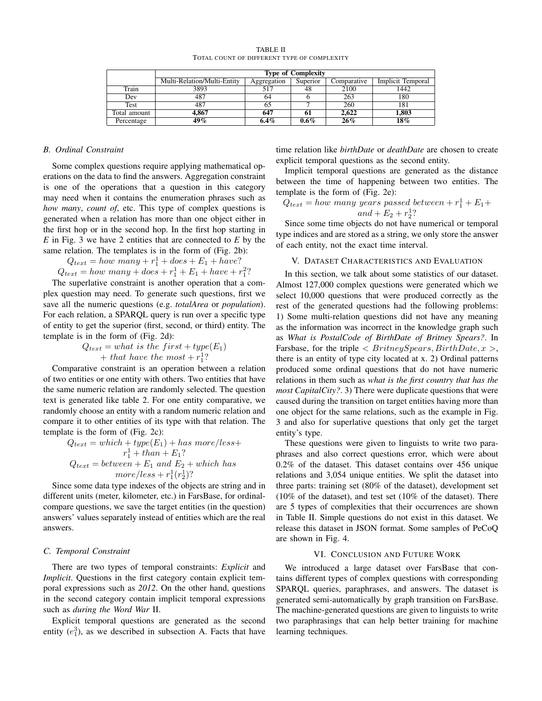|              | <b>Type of Complexity</b>   |             |          |             |                   |
|--------------|-----------------------------|-------------|----------|-------------|-------------------|
|              | Multi-Relation/Multi-Entity | Aggregation | Superior | Comparative | Implicit Temporal |
| Train        | 3893                        |             | 48       | 2100        | 1442              |
| Dev          | 487                         | 04          |          | 263         | 180               |
| Test         | 487                         |             |          | 260         | 181               |
| Total amount | 4.867                       | 647         | 61       | 2.622       | 1,803             |
| Percentage   | 49 %                        | 6.4%        | $0.6\%$  | $26\%$      | 18%               |

TABLE II TOTAL COUNT OF DIFFERENT TYPE OF COMPLEXITY

# *B. Ordinal Constraint*

Some complex questions require applying mathematical operations on the data to find the answers. Aggregation constraint is one of the operations that a question in this category may need when it contains the enumeration phrases such as *how many*, *count of*, etc. This type of complex questions is generated when a relation has more than one object either in the first hop or in the second hop. In the first hop starting in *E* in Fig. 3 we have 2 entities that are connected to *E* by the same relation. The templates is in the form of (Fig. 2b):

 $Q_{text} = how \; many + r_1^1 + does + E_1 + have?$  $Q_{text} = how \, many + does + r_1^1 + E_1 + have + r_1^2$ ?

The superlative constraint is another operation that a complex question may need. To generate such questions, first we save all the numeric questions (e.g. *totalArea* or *population*). For each relation, a SPARQL query is run over a specific type of entity to get the superior (first, second, or third) entity. The template is in the form of (Fig. 2d):

$$
Q_{text} = what is the first + type(E1)+ that have the most + r11?
$$

Comparative constraint is an operation between a relation of two entities or one entity with others. Two entities that have the same numeric relation are randomly selected. The question text is generated like table 2. For one entity comparative, we randomly choose an entity with a random numeric relation and compare it to other entities of its type with that relation. The template is the form of (Fig. 2c):

$$
Q_{text} = which + type(E_1) + has\ more/less+
$$
  

$$
r_1^1 + than + E_1?
$$
  

$$
Q_{text} = between + E_1 \ and \ E_2 + which \ has
$$
  

$$
more/less + r_1^1(r_2^1)?
$$

Since some data type indexes of the objects are string and in different units (meter, kilometer, etc.) in FarsBase, for ordinalcompare questions, we save the target entities (in the question) answers' values separately instead of entities which are the real answers.

# *C. Temporal Constraint*

There are two types of temporal constraints: *Explicit* and *Implicit*. Questions in the first category contain explicit temporal expressions such as *2012*. On the other hand, questions in the second category contain implicit temporal expressions such as *during the Word War* II.

Explicit temporal questions are generated as the second entity  $(e_1^3)$ , as we described in subsection A. Facts that have

time relation like *birthDate* or *deathDate* are chosen to create explicit temporal questions as the second entity.

Implicit temporal questions are generated as the distance between the time of happening between two entities. The template is the form of (Fig. 2e):

$$
Q_{text} = how many years passed between + r_11 + E_1 +and + E_2 + r_21?
$$

Since some time objects do not have numerical or temporal type indices and are stored as a string, we only store the answer of each entity, not the exact time interval.

## V. DATASET CHARACTERISTICS AND EVALUATION

In this section, we talk about some statistics of our dataset. Almost 127,000 complex questions were generated which we select 10,000 questions that were produced correctly as the rest of the generated questions had the following problems: 1) Some multi-relation questions did not have any meaning as the information was incorrect in the knowledge graph such as *What is PostalCode of BirthDate of Britney Spears?*. In Farsbase, for the triple *< BritneySpears, BirthDate, x >*, there is an entity of type city located at x. 2) Ordinal patterns produced some ordinal questions that do not have numeric relations in them such as *what is the first country that has the most CapitalCity?*. 3) There were duplicate questions that were caused during the transition on target entities having more than one object for the same relations, such as the example in Fig. 3 and also for superlative questions that only get the target entity's type.

These questions were given to linguists to write two paraphrases and also correct questions error, which were about 0.2% of the dataset. This dataset contains over 456 unique relations and 3,054 unique entities. We split the dataset into three parts: training set (80% of the dataset), development set (10% of the dataset), and test set (10% of the dataset). There are 5 types of complexities that their occurrences are shown in Table II. Simple questions do not exist in this dataset. We release this dataset in JSON format. Some samples of PeCoQ are shown in Fig. 4.

# VI. CONCLUSION AND FUTURE WORK

We introduced a large dataset over FarsBase that contains different types of complex questions with corresponding SPARQL queries, paraphrases, and answers. The dataset is generated semi-automatically by graph transition on FarsBase. The machine-generated questions are given to linguists to write two paraphrasings that can help better training for machine learning techniques.